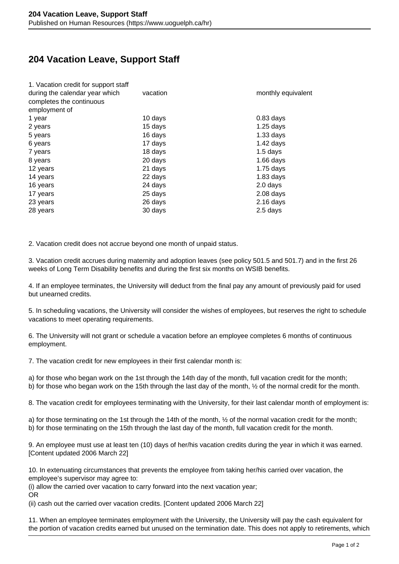## **204 Vacation Leave, Support Staff**

| 1. Vacation credit for support staff |          |                    |
|--------------------------------------|----------|--------------------|
| during the calendar year which       | vacation | monthly equivalent |
| completes the continuous             |          |                    |
| employment of                        |          |                    |
| 1 year                               | 10 days  | $0.83$ days        |
| 2 years                              | 15 days  | $1.25$ days        |
| 5 years                              | 16 days  | $1.33$ days        |
| 6 years                              | 17 days  | $1.42$ days        |
| 7 years                              | 18 days  | $1.5$ days         |
| 8 years                              | 20 days  | $1.66$ days        |
| 12 years                             | 21 days  | $1.75$ days        |
| 14 years                             | 22 days  | $1.83$ days        |
| 16 years                             | 24 days  | 2.0 days           |
| 17 years                             | 25 days  | $2.08$ days        |
| 23 years                             | 26 days  | $2.16$ days        |
| 28 years                             | 30 days  | 2.5 days           |
|                                      |          |                    |

2. Vacation credit does not accrue beyond one month of unpaid status.

3. Vacation credit accrues during maternity and adoption leaves (see policy 501.5 and 501.7) and in the first 26 weeks of Long Term Disability benefits and during the first six months on WSIB benefits.

4. If an employee terminates, the University will deduct from the final pay any amount of previously paid for used but unearned credits.

5. In scheduling vacations, the University will consider the wishes of employees, but reserves the right to schedule vacations to meet operating requirements.

6. The University will not grant or schedule a vacation before an employee completes 6 months of continuous employment.

7. The vacation credit for new employees in their first calendar month is:

a) for those who began work on the 1st through the 14th day of the month, full vacation credit for the month; b) for those who began work on the 15th through the last day of the month, ½ of the normal credit for the month.

8. The vacation credit for employees terminating with the University, for their last calendar month of employment is:

a) for those terminating on the 1st through the 14th of the month, ½ of the normal vacation credit for the month; b) for those terminating on the 15th through the last day of the month, full vacation credit for the month.

9. An employee must use at least ten (10) days of her/his vacation credits during the year in which it was earned. [Content updated 2006 March 22]

10. In extenuating circumstances that prevents the employee from taking her/his carried over vacation, the employee's supervisor may agree to:

(i) allow the carried over vacation to carry forward into the next vacation year; OR

(ii) cash out the carried over vacation credits. [Content updated 2006 March 22]

11. When an employee terminates employment with the University, the University will pay the cash equivalent for the portion of vacation credits earned but unused on the termination date. This does not apply to retirements, which